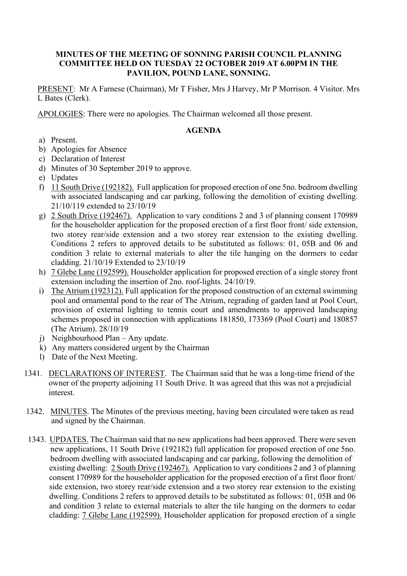## **MINUTES OF THE MEETING OF SONNING PARISH COUNCIL PLANNING COMMITTEE HELD ON TUESDAY 22 OCTOBER 2019 AT 6.00PM IN THE PAVILION, POUND LANE, SONNING.**

PRESENT: Mr A Farnese (Chairman), Mr T Fisher, Mrs J Harvey, Mr P Morrison. 4 Visitor. Mrs L Bates (Clerk).

APOLOGIES: There were no apologies. The Chairman welcomed all those present.

## **AGENDA**

- a) Present.
- b) Apologies for Absence
- c) Declaration of Interest
- d) Minutes of 30 September 2019 to approve.
- e) Updates
- f) 11 South Drive (192182). Full application for proposed erection of one 5no. bedroom dwelling with associated landscaping and car parking, following the demolition of existing dwelling. 21/10/119 extended to 23/10/19
- g) 2 South Drive (192467). Application to vary conditions 2 and 3 of planning consent 170989 for the householder application for the proposed erection of a first floor front/ side extension, two storey rear/side extension and a two storey rear extension to the existing dwelling. Conditions 2 refers to approved details to be substituted as follows: 01, 05B and 06 and condition 3 relate to external materials to alter the tile hanging on the dormers to cedar cladding. 21/10/19 Extended to 23/10/19
- h) 7 Glebe Lane (192599). Householder application for proposed erection of a single storey front extension including the insertion of 2no. roof-lights. 24/10/19.
- i) The Atrium (192312). Full application for the proposed construction of an external swimming pool and ornamental pond to the rear of The Atrium, regrading of garden land at Pool Court, provision of external lighting to tennis court and amendments to approved landscaping schemes proposed in connection with applications 181850, 173369 (Pool Court) and 180857 (The Atrium). 28/10/19
- j) Neighbourhood Plan Any update.
- k) Any matters considered urgent by the Chairman
- l) Date of the Next Meeting.
- 1341. DECLARATIONS OF INTEREST. The Chairman said that he was a long-time friend of the owner of the property adjoining 11 South Drive. It was agreed that this was not a prejudicial interest.
- 1342. MINUTES. The Minutes of the previous meeting, having been circulated were taken as read and signed by the Chairman.
- 1343. UPDATES. The Chairman said that no new applications had been approved. There were seven new applications, 11 South Drive (192182) full application for proposed erection of one 5no. bedroom dwelling with associated landscaping and car parking, following the demolition of existing dwelling: 2 South Drive (192467). Application to vary conditions 2 and 3 of planning consent 170989 for the householder application for the proposed erection of a first floor front/ side extension, two storey rear/side extension and a two storey rear extension to the existing dwelling. Conditions 2 refers to approved details to be substituted as follows: 01, 05B and 06 and condition 3 relate to external materials to alter the tile hanging on the dormers to cedar cladding: 7 Glebe Lane (192599). Householder application for proposed erection of a single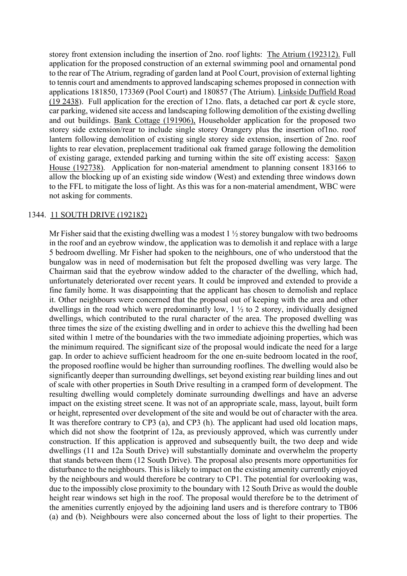storey front extension including the insertion of 2no. roof lights: The Atrium (192312). Full application for the proposed construction of an external swimming pool and ornamental pond to the rear of The Atrium, regrading of garden land at Pool Court, provision of external lighting to tennis court and amendments to approved landscaping schemes proposed in connection with applications 181850, 173369 (Pool Court) and 180857 (The Atrium). Linkside Duffield Road (19 2438). Full application for the erection of 12no. flats, a detached car port & cycle store, car parking, widened site access and landscaping following demolition of the existing dwelling and out buildings. Bank Cottage (191906), Householder application for the proposed two storey side extension/rear to include single storey Orangery plus the insertion of1no. roof lantern following demolition of existing single storey side extension, insertion of 2no. roof lights to rear elevation, preplacement traditional oak framed garage following the demolition of existing garage, extended parking and turning within the site off existing access: Saxon House (192738). Application for non-material amendment to planning consent 183166 to allow the blocking up of an existing side window (West) and extending three windows down to the FFL to mitigate the loss of light. As this was for a non-material amendment, WBC were not asking for comments.

#### 1344. 11 SOUTH DRIVE (192182)

Mr Fisher said that the existing dwelling was a modest  $1 \frac{1}{2}$  storey bungalow with two bedrooms in the roof and an eyebrow window, the application was to demolish it and replace with a large 5 bedroom dwelling. Mr Fisher had spoken to the neighbours, one of who understood that the bungalow was in need of modernisation but felt the proposed dwelling was very large. The Chairman said that the eyebrow window added to the character of the dwelling, which had, unfortunately deteriorated over recent years. It could be improved and extended to provide a fine family home. It was disappointing that the applicant has chosen to demolish and replace it. Other neighbours were concerned that the proposal out of keeping with the area and other dwellings in the road which were predominantly low, 1 ½ to 2 storey, individually designed dwellings, which contributed to the rural character of the area. The proposed dwelling was three times the size of the existing dwelling and in order to achieve this the dwelling had been sited within 1 metre of the boundaries with the two immediate adjoining properties, which was the minimum required. The significant size of the proposal would indicate the need for a large gap. In order to achieve sufficient headroom for the one en-suite bedroom located in the roof, the proposed roofline would be higher than surrounding rooflines. The dwelling would also be significantly deeper than surrounding dwellings, set beyond existing rear building lines and out of scale with other properties in South Drive resulting in a cramped form of development. The resulting dwelling would completely dominate surrounding dwellings and have an adverse impact on the existing street scene. It was not of an appropriate scale, mass, layout, built form or height, represented over development of the site and would be out of character with the area. It was therefore contrary to CP3 (a), and CP3 (h). The applicant had used old location maps, which did not show the footprint of 12a, as previously approved, which was currently under construction. If this application is approved and subsequently built, the two deep and wide dwellings (11 and 12a South Drive) will substantially dominate and overwhelm the property that stands between them (12 South Drive). The proposal also presents more opportunities for disturbance to the neighbours. This is likely to impact on the existing amenity currently enjoyed by the neighbours and would therefore be contrary to CP1. The potential for overlooking was, due to the impossibly close proximity to the boundary with 12 South Drive as would the double height rear windows set high in the roof. The proposal would therefore be to the detriment of the amenities currently enjoyed by the adjoining land users and is therefore contrary to TB06 (a) and (b). Neighbours were also concerned about the loss of light to their properties. The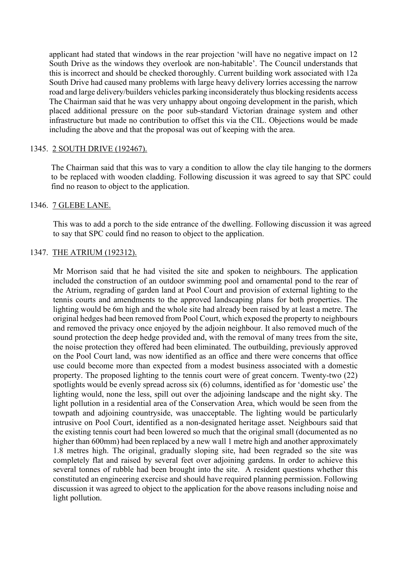applicant had stated that windows in the rear projection 'will have no negative impact on 12 South Drive as the windows they overlook are non-habitable'. The Council understands that this is incorrect and should be checked thoroughly. Current building work associated with 12a South Drive had caused many problems with large heavy delivery lorries accessing the narrow road and large delivery/builders vehicles parking inconsiderately thus blocking residents access The Chairman said that he was very unhappy about ongoing development in the parish, which placed additional pressure on the poor sub-standard Victorian drainage system and other infrastructure but made no contribution to offset this via the CIL. Objections would be made including the above and that the proposal was out of keeping with the area.

### 1345. 2 SOUTH DRIVE (192467).

The Chairman said that this was to vary a condition to allow the clay tile hanging to the dormers to be replaced with wooden cladding. Following discussion it was agreed to say that SPC could find no reason to object to the application.

#### 1346. 7 GLEBE LANE.

This was to add a porch to the side entrance of the dwelling. Following discussion it was agreed to say that SPC could find no reason to object to the application.

#### 1347. THE ATRIUM (192312).

Mr Morrison said that he had visited the site and spoken to neighbours. The application included the construction of an outdoor swimming pool and ornamental pond to the rear of the Atrium, regrading of garden land at Pool Court and provision of external lighting to the tennis courts and amendments to the approved landscaping plans for both properties. The lighting would be 6m high and the whole site had already been raised by at least a metre. The original hedges had been removed from Pool Court, which exposed the property to neighbours and removed the privacy once enjoyed by the adjoin neighbour. It also removed much of the sound protection the deep hedge provided and, with the removal of many trees from the site, the noise protection they offered had been eliminated. The outbuilding, previously approved on the Pool Court land, was now identified as an office and there were concerns that office use could become more than expected from a modest business associated with a domestic property. The proposed lighting to the tennis court were of great concern. Twenty-two (22) spotlights would be evenly spread across six (6) columns, identified as for 'domestic use' the lighting would, none the less, spill out over the adjoining landscape and the night sky. The light pollution in a residential area of the Conservation Area, which would be seen from the towpath and adjoining countryside, was unacceptable. The lighting would be particularly intrusive on Pool Court, identified as a non-designated heritage asset. Neighbours said that the existing tennis court had been lowered so much that the original small (documented as no higher than 600mm) had been replaced by a new wall 1 metre high and another approximately 1.8 metres high. The original, gradually sloping site, had been regraded so the site was completely flat and raised by several feet over adjoining gardens. In order to achieve this several tonnes of rubble had been brought into the site. A resident questions whether this constituted an engineering exercise and should have required planning permission. Following discussion it was agreed to object to the application for the above reasons including noise and light pollution.